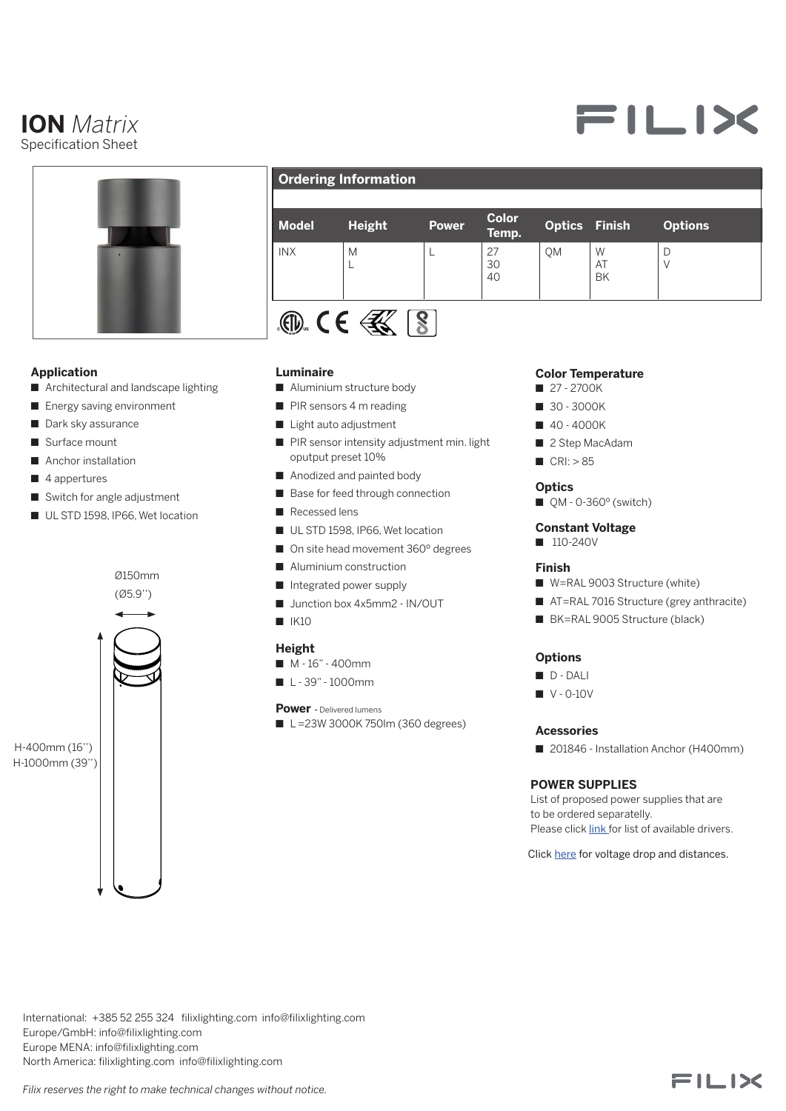# **ION** *Matrix* Specification Sheet



# **Application**

- Architectural and landscape lighting
- **n** Energy saving environment
- Dark sky assurance
- $\blacksquare$  Surface mount
- Anchor installation
- $\blacksquare$  4 appertures
- Switch for angle adjustment
- UL STD 1598, IP66, Wet location



# **Ordering Information**

| <b>Model</b> | <b>Height</b> | <b>Power</b> | Color<br>Temp. | <b>Optics Finish</b> |                      | <b>Options</b> |
|--------------|---------------|--------------|----------------|----------------------|----------------------|----------------|
| <b>INX</b>   | M             |              | 27<br>30<br>40 | QM                   | W<br>AT<br><b>BK</b> | D              |
| 771.         |               |              |                |                      |                      |                |

# $181.5$  C C  $31.5$

#### **Luminaire**

- Aluminium structure body
- $\blacksquare$  PIR sensors 4 m reading
- Light auto adjustment
- PIR sensor intensity adjustment min. light oputput preset 10%
- Anodized and painted body
- Base for feed through connection
- $\blacksquare$  Recessed lens
- UL STD 1598, IP66, Wet location
- On site head movement 360° degrees
- $\blacksquare$  Aluminium construction
- Integrated power supply
- Junction box 4x5mm2 IN/OUT
- $N$  IK10

# **Height**

- $M 16" 400$ mm
- $L 39" 1000$ mm

#### **Power -** Delivered lumens

 $\blacksquare$  L =23W 3000K 750lm (360 degrees)

#### **Color Temperature**

- **n** 27 2700K
- **1** 30 3000K
- $140 4000K$
- 2 Step MacAdam
- $CRI: > 85$

#### **Optics**

 $QM - 0.360^\circ$  (switch)

#### **Constant Voltage**

 $110-240V$ 

#### **Finish**

- W=RAL 9003 Structure (white)
- AT=RAL 7016 Structure (grey anthracite)
- BK=RAL 9005 Structure (black)

## **Options**

- n D DALI
- $\blacksquare$  V 0-10V

#### **Acessories**

■ 201846 - Installation Anchor (H400mm)

### **POWER SUPPLIES**

List of proposed power supplies that are to be ordered separatelly. Please click [link](https://www.filixlighting.com/userfiles/files/List%20of%20power%20supply.pdf) for list of available drivers.

Click [here](https://direct.lc.chat/11747922/) for voltage drop and distances.

International: +385 52 255 324 filixlighting.com info@filixlighting.com Europe/GmbH: info@filixlighting.com Europe MENA: info@filixlighting.com North America: filixlighting.com info@filixlighting.com 2 1



FILIX